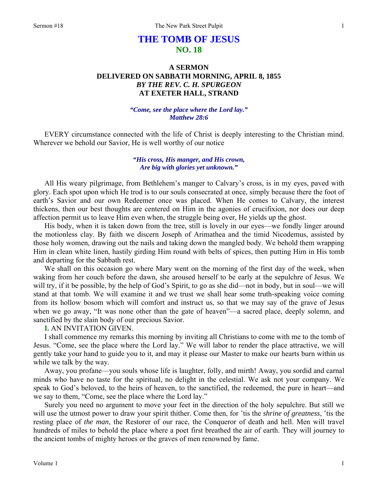# **THE TOMB OF JESUS NO. 18**

# **A SERMON DELIVERED ON SABBATH MORNING, APRIL 8, 1855**  *BY THE REV. C. H. SPURGEON*  **AT EXETER HALL, STRAND**

## *"Come, see the place where the Lord lay." Matthew 28:6*

EVERY circumstance connected with the life of Christ is deeply interesting to the Christian mind. Wherever we behold our Savior, He is well worthy of our notice

### *"His cross, His manger, and His crown, Are big with glories yet unknown."*

All His weary pilgrimage, from Bethlehem's manger to Calvary's cross, is in my eyes, paved with glory. Each spot upon which He trod is to our souls consecrated at once, simply because there the foot of earth's Savior and our own Redeemer once was placed. When He comes to Calvary, the interest thickens, then our best thoughts are centered on Him in the agonies of crucifixion, nor does our deep affection permit us to leave Him even when, the struggle being over, He yields up the ghost.

His body, when it is taken down from the tree, still is lovely in our eyes—we fondly linger around the motionless clay. By faith we discern Joseph of Arimathea and the timid Nicodemus, assisted by those holy women, drawing out the nails and taking down the mangled body. We behold them wrapping Him in clean white linen, hastily girding Him round with belts of spices, then putting Him in His tomb and departing for the Sabbath rest.

We shall on this occasion go where Mary went on the morning of the first day of the week, when waking from her couch before the dawn, she aroused herself to be early at the sepulchre of Jesus. We will try, if it be possible, by the help of God's Spirit, to go as she did—not in body, but in soul—we will stand at that tomb. We will examine it and we trust we shall hear some truth-speaking voice coming from its hollow bosom which will comfort and instruct us, so that we may say of the grave of Jesus when we go away, "It was none other than the gate of heaven"—a sacred place, deeply solemn, and sanctified by the slain body of our precious Savior.

#### **I.** AN INVITATION GIVEN.

I shall commence my remarks this morning by inviting all Christians to come with me to the tomb of Jesus. "Come, see the place where the Lord lay." We will labor to render the place attractive, we will gently take your hand to guide you to it, and may it please our Master to make our hearts burn within us while we talk by the way.

Away, you profane—you souls whose life is laughter, folly, and mirth! Away, you sordid and carnal minds who have no taste for the spiritual, no delight in the celestial. We ask not your company. We speak to God's beloved, to the heirs of heaven, to the sanctified, the redeemed, the pure in heart—and we say to them, "Come, see the place where the Lord lay."

Surely you need no argument to move your feet in the direction of the holy sepulchre. But still we will use the utmost power to draw your spirit thither. Come then, for 'tis the *shrine of greatness*, 'tis the resting place of *the man*, the Restorer of our race, the Conqueror of death and hell. Men will travel hundreds of miles to behold the place where a poet first breathed the air of earth. They will journey to the ancient tombs of mighty heroes or the graves of men renowned by fame.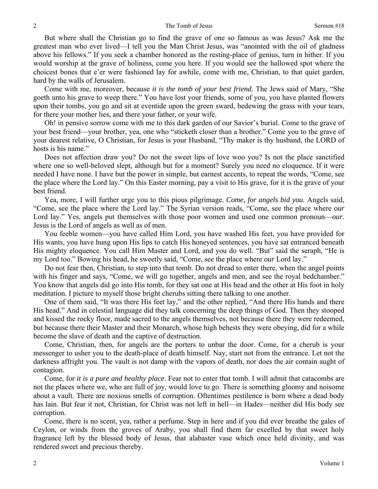But where shall the Christian go to find the grave of one so famous as was Jesus? Ask me the greatest man who ever lived—I tell you the Man Christ Jesus, was "anointed with the oil of gladness above his fellows." If you seek a chamber honored as the resting-place of genius, turn in hither. If you would worship at the grave of holiness, come you here. If you would see the hallowed spot where the choicest bones that e'er were fashioned lay for awhile, come with me, Christian, to that quiet garden, hard by the walls of Jerusalem.

Come with me, moreover, because *it is the tomb of your best friend.* The Jews said of Mary, "She goeth unto his grave to weep there." You have lost your friends, some of you, you have planted flowers upon their tombs, you go and sit at eventide upon the green sward, bedewing the grass with your tears, for there your mother lies, and there your father, or your wife.

Oh! in pensive sorrow come with me to this dark garden of our Savior's burial. Come to the grave of your best friend—your brother, yea, one who "sticketh closer than a brother." Come you to the grave of your dearest relative, O Christian, for Jesus is your Husband, "Thy maker is thy husband, the LORD of hosts is his name."

Does not affection draw you? Do not the sweet lips of love woo you? Is not the place sanctified where one so well-beloved slept, although but for a moment? Surely you need no eloquence. If it were needed I have none. I have but the power in simple, but earnest accents, to repeat the words, "Come, see the place where the Lord lay." On this Easter morning, pay a visit to His grave, for it is the grave of your best friend.

Yea, more, I will further urge you to this pious pilgrimage. *Come, for angels bid you.* Angels said, "Come, see the place where the Lord lay." The Syrian version reads, "Come, see the place where *our*  Lord lay." Yes, angels put themselves with those poor women and used one common pronoun—*our*. Jesus is the Lord of angels as well as of men.

You feeble women—you have called Him Lord, you have washed His feet, you have provided for His wants, you have hung upon His lips to catch His honeyed sentences, you have sat entranced beneath His mighty eloquence. You call Him Master and Lord, and you do well. "But" said the seraph, "He is my Lord too." Bowing his head, he sweetly said, "Come, see the place where *our* Lord lay."

Do not fear then, Christian, to step into that tomb. Do not dread to enter there, when the angel points with his finger and says, "Come, we will go together, angels and men, and see the royal bedchamber." You know that angels did go into His tomb, for they sat one at His head and the other at His foot in holy meditation. I picture to myself those bright cherubs sitting there talking to one another.

One of them said, "It was there His feet lay," and the other replied, "And there His hands and there His head." And in celestial language did they talk concerning the deep things of God. Then they stooped and kissed the rocky floor, made sacred to the angels themselves, not because there they were redeemed, but because there their Master and their Monarch, whose high behests they were obeying, did for a while become the slave of death and the captive of destruction.

Come, Christian, then, for angels are the porters to unbar the door. Come, for a cherub is your messenger to usher you to the death-place of death himself. Nay, start not from the entrance. Let not the darkness affright you. The vault is not damp with the vapors of death, nor does the air contain aught of contagion.

Come, for *it is a pure and healthy place*. Fear not to enter that tomb. I will admit that catacombs are not the places where we, who are full of joy, would love to go. There is something gloomy and noisome about a vault. There are noxious smells of corruption. Oftentimes pestilence is born where a dead body has lain. But fear it not, Christian, for Christ was not left in hell—in Hades—neither did His body see corruption.

Come, there is no scent, yea, rather a perfume. Step in here and if you did ever breathe the gales of Ceylon, or winds from the groves of Araby, you shall find them far excelled by that sweet holy fragrance left by the blessed body of Jesus, that alabaster vase which once held divinity, and was rendered sweet and precious thereby.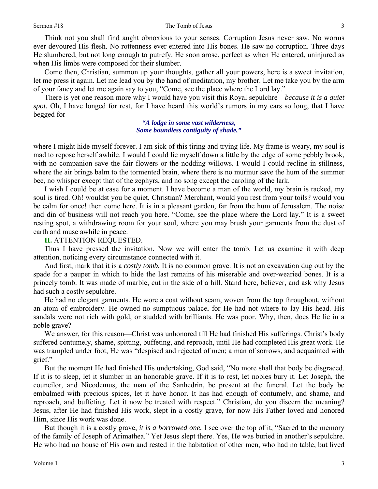Think not you shall find aught obnoxious to your senses. Corruption Jesus never saw. No worms ever devoured His flesh. No rottenness ever entered into His bones. He saw no corruption. Three days He slumbered, but not long enough to putrefy. He soon arose, perfect as when He entered, uninjured as when His limbs were composed for their slumber.

Come then, Christian, summon up your thoughts, gather all your powers, here is a sweet invitation, let me press it again. Let me lead you by the hand of meditation, my brother. Let me take you by the arm of your fancy and let me again say to you, "Come, see the place where the Lord lay."

There is yet one reason more why I would have you visit this Royal sepulchre—*because it is a quiet spot.* Oh, I have longed for rest, for I have heard this world's rumors in my ears so long, that I have begged for

> *"A lodge in some vast wilderness, Some boundless contiguity of shade,"*

where I might hide myself forever. I am sick of this tiring and trying life. My frame is weary, my soul is mad to repose herself awhile. I would I could lie myself down a little by the edge of some pebbly brook, with no companion save the fair flowers or the nodding willows. I would I could recline in stillness, where the air brings balm to the tormented brain, where there is no murmur save the hum of the summer bee, no whisper except that of the zephyrs, and no song except the caroling of the lark.

I wish I could be at ease for a moment. I have become a man of the world, my brain is racked, my soul is tired. Oh! wouldst you be quiet, Christian? Merchant, would you rest from your toils? would you be calm for once! then come here. It is in a pleasant garden, far from the hum of Jerusalem. The noise and din of business will not reach you here. "Come, see the place where the Lord lay." It is a sweet resting spot, a withdrawing room for your soul, where you may brush your garments from the dust of earth and muse awhile in peace.

#### **II.** ATTENTION REQUESTED.

Thus I have pressed the invitation. Now we will enter the tomb. Let us examine it with deep attention, noticing every circumstance connected with it.

And first, mark that it is a *costly tomb.* It is no common grave. It is not an excavation dug out by the spade for a pauper in which to hide the last remains of his miserable and over-wearied bones. It is a princely tomb. It was made of marble, cut in the side of a hill. Stand here, believer, and ask why Jesus had such a costly sepulchre.

He had no elegant garments. He wore a coat without seam, woven from the top throughout, without an atom of embroidery. He owned no sumptuous palace, for He had not where to lay His head. His sandals were not rich with gold, or studded with brilliants. He was poor. Why, then, does He lie in a noble grave?

We answer, for this reason—Christ was unhonored till He had finished His sufferings. Christ's body suffered contumely, shame, spitting, buffeting, and reproach, until He had completed His great work. He was trampled under foot, He was "despised and rejected of men; a man of sorrows, and acquainted with grief."

But the moment He had finished His undertaking, God said, "No more shall that body be disgraced. If it is to sleep, let it slumber in an honorable grave. If it is to rest, let nobles bury it. Let Joseph, the councilor, and Nicodemus, the man of the Sanhedrin, be present at the funeral. Let the body be embalmed with precious spices, let it have honor. It has had enough of contumely, and shame, and reproach, and buffeting. Let it now be treated with respect." Christian, do you discern the meaning? Jesus, after He had finished His work, slept in a costly grave, for now His Father loved and honored Him, since His work was done.

But though it is a costly grave, *it is a borrowed one.* I see over the top of it, "Sacred to the memory of the family of Joseph of Arimathea." Yet Jesus slept there. Yes, He was buried in another's sepulchre. He who had no house of His own and rested in the habitation of other men, who had no table, but lived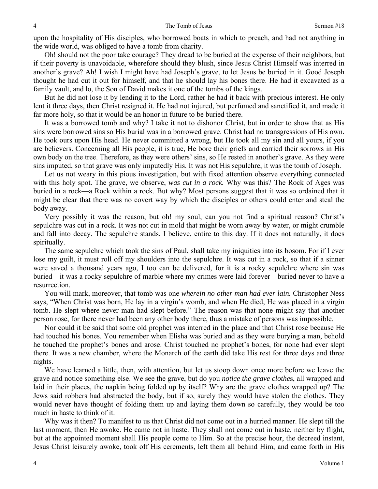upon the hospitality of His disciples, who borrowed boats in which to preach, and had not anything in the wide world, was obliged to have a tomb from charity.

Oh! should not the poor take courage? They dread to be buried at the expense of their neighbors, but if their poverty is unavoidable, wherefore should they blush, since Jesus Christ Himself was interred in another's grave? Ah! I wish I might have had Joseph's grave, to let Jesus be buried in it. Good Joseph thought he had cut it out for himself, and that he should lay his bones there. He had it excavated as a family vault, and lo, the Son of David makes it one of the tombs of the kings.

But he did not lose it by lending it to the Lord, rather he had it back with precious interest. He only lent it three days, then Christ resigned it. He had not injured, but perfumed and sanctified it, and made it far more holy, so that it would be an honor in future to be buried there.

It was a borrowed tomb and why? I take it not to dishonor Christ, but in order to show that as His sins were borrowed sins so His burial was in a borrowed grave. Christ had no transgressions of His own. He took ours upon His head. He never committed a wrong, but He took all my sin and all yours, if you are believers. Concerning all His people, it is true, He bore their griefs and carried their sorrows in His own body on the tree. Therefore, as they were others' sins, so He rested in another's grave. As they were sins imputed, so that grave was only imputedly His. It was not His sepulchre, it was the tomb of Joseph.

Let us not weary in this pious investigation, but with fixed attention observe everything connected with this holy spot. The grave, we observe, *was cut in a rock.* Why was this? The Rock of Ages was buried in a rock—a Rock within a rock. But why? Most persons suggest that it was so ordained that it might be clear that there was no covert way by which the disciples or others could enter and steal the body away.

Very possibly it was the reason, but oh! my soul, can you not find a spiritual reason? Christ's sepulchre was cut in a rock. It was not cut in mold that might be worn away by water, or might crumble and fall into decay. The sepulchre stands, I believe, entire to this day. If it does not naturally, it does spiritually.

The same sepulchre which took the sins of Paul, shall take my iniquities into its bosom. For if I ever lose my guilt, it must roll off my shoulders into the sepulchre. It was cut in a rock, so that if a sinner were saved a thousand years ago, I too can be delivered, for it is a rocky sepulchre where sin was buried—it was a rocky sepulchre of marble where my crimes were laid forever—buried never to have a resurrection.

You will mark, moreover, that tomb was one *wherein no other man had ever lain.* Christopher Ness says, "When Christ was born, He lay in a virgin's womb, and when He died, He was placed in a virgin tomb. He slept where never man had slept before." The reason was that none might say that another person rose, for there never had been any other body there, thus a mistake of persons was impossible.

Nor could it be said that some old prophet was interred in the place and that Christ rose because He had touched his bones. You remember when Elisha was buried and as they were burying a man, behold he touched the prophet's bones and arose. Christ touched no prophet's bones, for none had ever slept there. It was a new chamber, where the Monarch of the earth did take His rest for three days and three nights.

We have learned a little, then, with attention, but let us stoop down once more before we leave the grave and notice something else. We see the grave, but do you *notice the grave clothe*s, all wrapped and laid in their places, the napkin being folded up by itself? Why are the grave clothes wrapped up? The Jews said robbers had abstracted the body, but if so, surely they would have stolen the clothes. They would never have thought of folding them up and laying them down so carefully, they would be too much in haste to think of it.

Why was it then? To manifest to us that Christ did not come out in a hurried manner. He slept till the last moment, then He awoke. He came not in haste. They shall not come out in haste, neither by flight, but at the appointed moment shall His people come to Him. So at the precise hour, the decreed instant, Jesus Christ leisurely awoke, took off His cerements, left them all behind Him, and came forth in His

4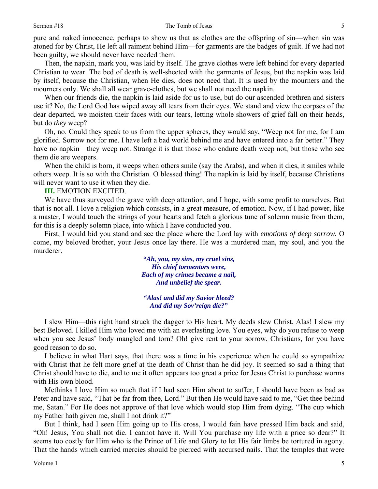pure and naked innocence, perhaps to show us that as clothes are the offspring of sin—when sin was atoned for by Christ, He left all raiment behind Him—for garments are the badges of guilt. If we had not been guilty, we should never have needed them.

Then, the napkin, mark you, was laid by itself. The grave clothes were left behind for every departed Christian to wear. The bed of death is well-sheeted with the garments of Jesus, but the napkin was laid by itself, because the Christian, when He dies, does not need that. It is used by the mourners and the mourners only. We shall all wear grave-clothes, but we shall not need the napkin.

When our friends die, the napkin is laid aside for us to use, but do our ascended brethren and sisters use it? No, the Lord God has wiped away all tears from their eyes. We stand and view the corpses of the dear departed, we moisten their faces with our tears, letting whole showers of grief fall on their heads, but do *they* weep?

Oh, no. Could they speak to us from the upper spheres, they would say, "Weep not for me, for I am glorified. Sorrow not for me. I have left a bad world behind me and have entered into a far better." They have no napkin—they weep not. Strange it is that those who endure death weep not, but those who see them die are weepers.

When the child is born, it weeps when others smile (say the Arabs), and when it dies, it smiles while others weep. It is so with the Christian. O blessed thing! The napkin is laid by itself, because Christians will never want to use it when they die.

#### **III.** EMOTION EXCITED.

We have thus surveyed the grave with deep attention, and I hope, with some profit to ourselves. But that is not all. I love a religion which consists, in a great measure, of emotion. Now, if I had power, like a master, I would touch the strings of your hearts and fetch a glorious tune of solemn music from them, for this is a deeply solemn place, into which I have conducted you.

First, I would bid you stand and see the place where the Lord lay with *emotions of deep sorrow.* O come, my beloved brother, your Jesus once lay there. He was a murdered man, my soul, and you the murderer.

> *"Ah, you, my sins, my cruel sins, His chief tormentors were, Each of my crimes became a nail, And unbelief the spear.*

*"Alas! and did my Savior bleed? And did my Sov'reign die?"* 

I slew Him—this right hand struck the dagger to His heart. My deeds slew Christ. Alas! I slew my best Beloved. I killed Him who loved me with an everlasting love. You eyes, why do you refuse to weep when you see Jesus' body mangled and torn? Oh! give rent to your sorrow, Christians, for you have good reason to do so.

I believe in what Hart says, that there was a time in his experience when he could so sympathize with Christ that he felt more grief at the death of Christ than he did joy. It seemed so sad a thing that Christ should have to die, and to me it often appears too great a price for Jesus Christ to purchase worms with His own blood.

Methinks I love Him so much that if I had seen Him about to suffer, I should have been as bad as Peter and have said, "That be far from thee, Lord." But then He would have said to me, "Get thee behind me, Satan." For He does not approve of that love which would stop Him from dying. "The cup which my Father hath given me, shall I not drink it?"

But I think, had I seen Him going up to His cross, I would fain have pressed Him back and said, "Oh! Jesus, You shall not die. I cannot have it. Will You purchase my life with a price so dear?" It seems too costly for Him who is the Prince of Life and Glory to let His fair limbs be tortured in agony. That the hands which carried mercies should be pierced with accursed nails. That the temples that were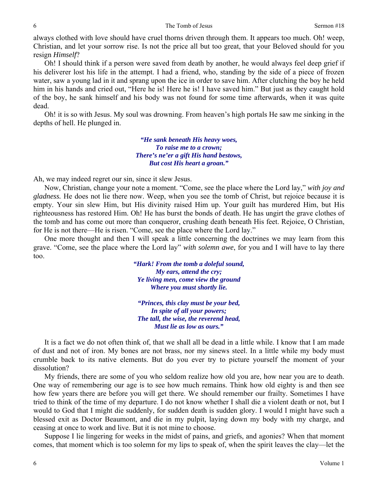always clothed with love should have cruel thorns driven through them. It appears too much. Oh! weep, Christian, and let your sorrow rise. Is not the price all but too great, that your Beloved should for you resign *Himself*?

Oh! I should think if a person were saved from death by another, he would always feel deep grief if his deliverer lost his life in the attempt. I had a friend, who, standing by the side of a piece of frozen water, saw a young lad in it and sprang upon the ice in order to save him. After clutching the boy he held him in his hands and cried out, "Here he is! Here he is! I have saved him." But just as they caught hold of the boy, he sank himself and his body was not found for some time afterwards, when it was quite dead.

Oh! it is so with Jesus. My soul was drowning. From heaven's high portals He saw me sinking in the depths of hell. He plunged in.

> *"He sank beneath His heavy woes, To raise me to a crown; There's ne'er a gift His hand bestows, But cost His heart a groan."*

Ah, we may indeed regret our sin, since it slew Jesus.

Now, Christian, change your note a moment. "Come, see the place where the Lord lay," *with joy and gladness.* He does not lie there now. Weep, when you see the tomb of Christ, but rejoice because it is empty. Your sin slew Him, but His divinity raised Him up. Your guilt has murdered Him, but His righteousness has restored Him. Oh! He has burst the bonds of death. He has ungirt the grave clothes of the tomb and has come out more than conqueror, crushing death beneath His feet. Rejoice, O Christian, for He is not there—He is risen. "Come, see the place where the Lord lay."

One more thought and then I will speak a little concerning the doctrines we may learn from this grave. "Come, see the place where the Lord lay" *with solemn awe*, for you and I will have to lay there too.

> *"Hark! From the tomb a doleful sound, My ears, attend the cry; Ye living men, come view the ground Where you must shortly lie.*

*"Princes, this clay must be your bed, In spite of all your powers; The tall, the wise, the reverend head, Must lie as low as ours."* 

It is a fact we do not often think of, that we shall all be dead in a little while. I know that I am made of dust and not of iron. My bones are not brass, nor my sinews steel. In a little while my body must crumble back to its native elements. But do you ever try to picture yourself the moment of your dissolution?

My friends, there are some of you who seldom realize how old you are, how near you are to death. One way of remembering our age is to see how much remains. Think how old eighty is and then see how few years there are before you will get there. We should remember our frailty. Sometimes I have tried to think of the time of my departure. I do not know whether I shall die a violent death or not, but I would to God that I might die suddenly, for sudden death is sudden glory. I would I might have such a blessed exit as Doctor Beaumont, and die in my pulpit, laying down my body with my charge, and ceasing at once to work and live. But it is not mine to choose.

Suppose I lie lingering for weeks in the midst of pains, and griefs, and agonies? When that moment comes, that moment which is too solemn for my lips to speak of, when the spirit leaves the clay—let the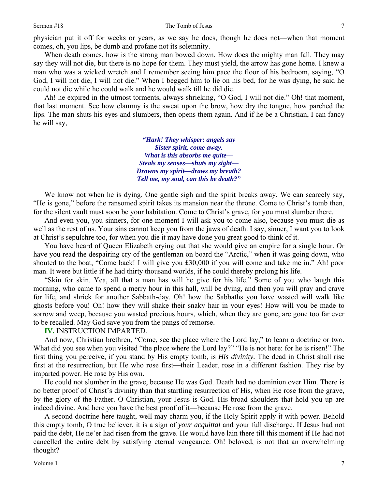When death comes, how is the strong man bowed down. How does the mighty man fall. They may say they will not die, but there is no hope for them. They must yield, the arrow has gone home. I knew a man who was a wicked wretch and I remember seeing him pace the floor of his bedroom, saying, "O God, I will not die, I will not die." When I begged him to lie on his bed, for he was dying, he said he could not die while he could walk and he would walk till he did die.

Ah! he expired in the utmost torments, always shrieking, "O God, I will not die." Oh! that moment, that last moment. See how clammy is the sweat upon the brow, how dry the tongue, how parched the lips. The man shuts his eyes and slumbers, then opens them again. And if he be a Christian, I can fancy he will say,

> *"Hark! They whisper: angels say Sister spirit, come away. What is this absorbs me quite— Steals my senses—shuts my sight— Drowns my spirit—draws my breath? Tell me, my soul, can this be death?"*

We know not when he is dying. One gentle sigh and the spirit breaks away. We can scarcely say, "He is gone," before the ransomed spirit takes its mansion near the throne. Come to Christ's tomb then, for the silent vault must soon be your habitation. Come to Christ's grave, for you must slumber there.

And even you, you sinners, for one moment I will ask you to come also, because you must die as well as the rest of us. Your sins cannot keep you from the jaws of death. I say, sinner, I want you to look at Christ's sepulchre too, for when you die it may have done you great good to think of it.

You have heard of Queen Elizabeth crying out that she would give an empire for a single hour. Or have you read the despairing cry of the gentleman on board the "Arctic," when it was going down, who shouted to the boat, "Come back! I will give you £30,000 if you will come and take me in." Ah! poor man. It were but little if he had thirty thousand worlds, if he could thereby prolong his life.

"Skin for skin. Yea, all that a man has will he give for his life." Some of you who laugh this morning, who came to spend a merry hour in this hall, will be dying, and then you will pray and crave for life, and shriek for another Sabbath-day. Oh! how the Sabbaths you have wasted will walk like ghosts before you! Oh! how they will shake their snaky hair in your eyes! How will you be made to sorrow and weep, because you wasted precious hours, which, when they are gone, are gone too far ever to be recalled. May God save you from the pangs of remorse.

**IV.** INSTRUCTION IMPARTED.

And now, Christian brethren, "Come, see the place where the Lord lay," to learn a doctrine or two. What did you see when you visited "the place where the Lord lay?" "He is not here: for he is risen!" The first thing you perceive, if you stand by His empty tomb, is *His divinity.* The dead in Christ shall rise first at the resurrection, but He who rose first—their Leader, rose in a different fashion. They rise by imparted power. He rose by His own.

He could not slumber in the grave, because He was God. Death had no dominion over Him. There is no better proof of Christ's divinity than that startling resurrection of His, when He rose from the grave, by the glory of the Father. O Christian, your Jesus is God. His broad shoulders that hold you up are indeed divine. And here you have the best proof of it—because He rose from the grave.

A second doctrine here taught, well may charm you, if the Holy Spirit apply it with power. Behold this empty tomb, O true believer, it is a sign of *your acquittal* and your full discharge. If Jesus had not paid the debt, He ne'er had risen from the grave. He would have lain there till this moment if He had not cancelled the entire debt by satisfying eternal vengeance. Oh! beloved, is not that an overwhelming thought?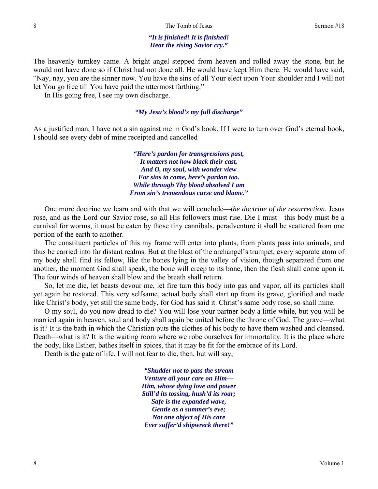#### *"It is finished! It is finished! Hear the rising Savior cry."*

The heavenly turnkey came. A bright angel stepped from heaven and rolled away the stone, but he would not have done so if Christ had not done all. He would have kept Him there. He would have said, "Nay, nay, you are the sinner now. You have the sins of all Your elect upon Your shoulder and I will not let You go free till You have paid the uttermost farthing."

In His going free, I see my own discharge.

#### *"My Jesu's blood's my full discharge"*

As a justified man, I have not a sin against me in God's book. If I were to turn over God's eternal book, I should see every debt of mine receipted and cancelled

> *"Here's pardon for transgressions past, It matters not how black their cast, And O, my soul, with wonder view For sins to come, here's pardon too. While through Thy blood absolved I am From sin's tremendous curse and blame."*

One more doctrine we learn and with that we will conclude—*the doctrine of the resurrection.* Jesus rose, and as the Lord our Savior rose, so all His followers must rise. Die I must—this body must be a carnival for worms, it must be eaten by those tiny cannibals, peradventure it shall be scattered from one portion of the earth to another.

The constituent particles of this my frame will enter into plants, from plants pass into animals, and thus be carried into far distant realms. But at the blast of the archangel's trumpet, every separate atom of my body shall find its fellow, like the bones lying in the valley of vision, though separated from one another, the moment God shall speak, the bone will creep to its bone, then the flesh shall come upon it. The four winds of heaven shall blow and the breath shall return.

So, let me die, let beasts devour me, let fire turn this body into gas and vapor, all its particles shall yet again be restored. This very selfsame, actual body shall start up from its grave, glorified and made like Christ's body, yet still the same body, for God has said it. Christ's same body rose, so shall mine.

O my soul, do you now dread to die? You will lose your partner body a little while, but you will be married again in heaven, soul and body shall again be united before the throne of God. The grave—what is it? It is the bath in which the Christian puts the clothes of his body to have them washed and cleansed. Death—what is it? It is the waiting room where we robe ourselves for immortality. It is the place where the body, like Esther, bathes itself in spices, that it may be fit for the embrace of its Lord.

Death is the gate of life. I will not fear to die, then, but will say,

*"Shudder not to pass the stream Venture all your care on Him— Him, whose dying love and power Still'd its tossing, hush'd its roar; Safe is the expanded wave, Gentle as a summer's eve; Not one object of His care Ever suffer'd shipwreck there!"*